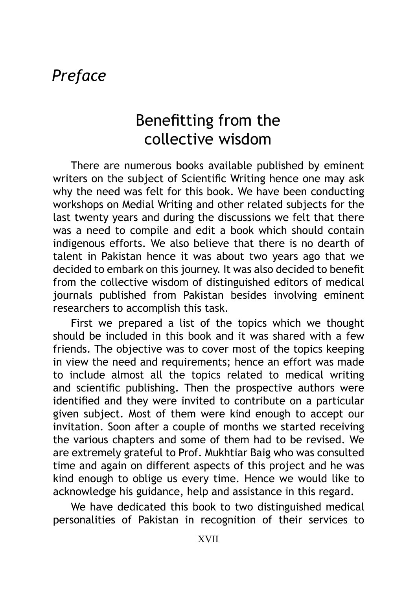## *Preface*

## Benefitting from the collective wisdom

There are numerous books available published by eminent writers on the subject of Scientific Writing hence one may ask why the need was felt for this book. We have been conducting workshops on Medial Writing and other related subjects for the last twenty years and during the discussions we felt that there was a need to compile and edit a book which should contain indigenous efforts. We also believe that there is no dearth of talent in Pakistan hence it was about two years ago that we decided to embark on this journey. It was also decided to benefit from the collective wisdom of distinguished editors of medical journals published from Pakistan besides involving eminent researchers to accomplish this task.

First we prepared a list of the topics which we thought should be included in this book and it was shared with a few friends. The objective was to cover most of the topics keeping in view the need and requirements; hence an effort was made to include almost all the topics related to medical writing and scientific publishing. Then the prospective authors were identified and they were invited to contribute on a particular given subject. Most of them were kind enough to accept our invitation. Soon after a couple of months we started receiving the various chapters and some of them had to be revised. We are extremely grateful to Prof. Mukhtiar Baig who was consulted time and again on different aspects of this project and he was kind enough to oblige us every time. Hence we would like to acknowledge his guidance, help and assistance in this regard.

We have dedicated this book to two distinguished medical personalities of Pakistan in recognition of their services to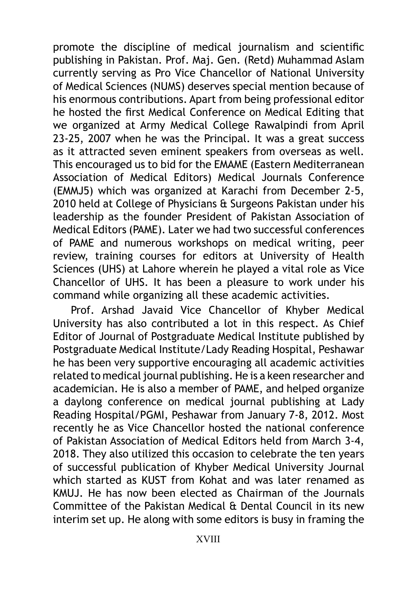promote the discipline of medical journalism and scientific publishing in Pakistan. Prof. Maj. Gen. (Retd) Muhammad Aslam currently serving as Pro Vice Chancellor of National University of Medical Sciences (NUMS) deserves special mention because of his enormous contributions. Apart from being professional editor he hosted the first Medical Conference on Medical Editing that we organized at Army Medical College Rawalpindi from April 23-25, 2007 when he was the Principal. It was a great success as it attracted seven eminent speakers from overseas as well. This encouraged us to bid for the EMAME (Eastern Mediterranean Association of Medical Editors) Medical Journals Conference (EMMJ5) which was organized at Karachi from December 2-5, 2010 held at College of Physicians & Surgeons Pakistan under his leadership as the founder President of Pakistan Association of Medical Editors (PAME). Later we had two successful conferences of PAME and numerous workshops on medical writing, peer review, training courses for editors at University of Health Sciences (UHS) at Lahore wherein he played a vital role as Vice Chancellor of UHS. It has been a pleasure to work under his command while organizing all these academic activities.

Prof. Arshad Javaid Vice Chancellor of Khyber Medical University has also contributed a lot in this respect. As Chief Editor of Journal of Postgraduate Medical Institute published by Postgraduate Medical Institute/Lady Reading Hospital, Peshawar he has been very supportive encouraging all academic activities related to medical journal publishing. He is a keen researcher and academician. He is also a member of PAME, and helped organize a daylong conference on medical journal publishing at Lady Reading Hospital/PGMI, Peshawar from January 7-8, 2012. Most recently he as Vice Chancellor hosted the national conference of Pakistan Association of Medical Editors held from March 3-4, 2018. They also utilized this occasion to celebrate the ten years of successful publication of Khyber Medical University Journal which started as KUST from Kohat and was later renamed as KMUJ. He has now been elected as Chairman of the Journals Committee of the Pakistan Medical & Dental Council in its new interim set up. He along with some editors is busy in framing the